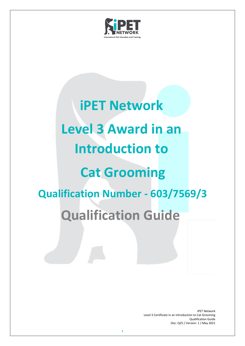

# **iPET Network Level 3 Award in an Introduction to Cat Grooming Qualification Number - 603/7569/3 Qualification Guide**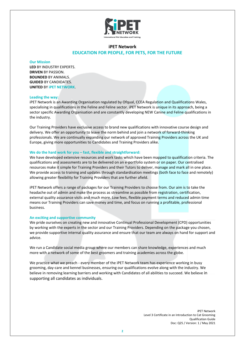

## **iPET Network EDUCATION FOR PEOPLE, FOR PETS, FOR THE FUTURE**

**Our Mission**

**LED** BY INDUSTRY EXPERTS. **DRIVEN** BY PASSION. **BOUNDED** BY ANIMALS. **GUIDED** BY CANDIDATES. **UNITED** BY **iPET NETWORK**.

#### **Leading the way:**

iPET Network is an Awarding Organisation regulated by Ofqual, CCEA Regulation and Qualifications Wales, specialising in qualifications in the Feline and Feline sector. iPET Network is unique in its approach, being a sector specific Awarding Organisation and are constantly developing NEW Canine and Feline qualifications in the industry.

Our Training Providers have exclusive access to brand new qualifications with innovative course design and delivery. We offer an opportunity to leave the norm behind and join a network of forward-thinking professionals. We are continually expanding our network of approved Training Providers across the UK and Europe, giving more opportunities to Candidates and Training Providers alike.

#### **We do the hard work for you – fast, flexible and straightforward:**

We have developed extensive resources and work tasks which have been mapped to qualification criteria. The qualifications and assessments are to be delivered on an e-portfolio system or on paper. Our centralised resources make it simple for Training Providers and their Tutors to deliver, manage and mark all in one place. We provide access to training and updates through standardisation meetings (both face to face and remotely) allowing greater flexibility for Training Providers that are further afield.

iPET Network offers a range of packages for our Training Providers to choose from. Our aim is to take the headache out of admin and make the process as streamline as possible from registration, certification, external quality assurance visits and much more. Low fees, flexible payment terms and reduced admin time means our Training Providers can save money and time, and focus on running a profitable, professional business.

#### **An exciting and supportive community**

We pride ourselves on creating new and innovative Continual Professional Development (CPD) opportunities by working with the experts in the sector and our Training Providers. Depending on the package you chosen, we provide supportive internal quality assurance and ensure that our team are always on hand for support and advice.

We run a Candidate social media group where our members can share knowledge, experiences and much more with a network of some of the best groomers and training academies across the globe.

We practice what we preach - every member of the iPET Network team has experience working in busy grooming, day-care and kennel businesses, ensuring our qualifications evolve along with the industry. We believe in removing learning barriers and working with Candidates of all abilities to succeed. We believe in supporting all candidates as individuals.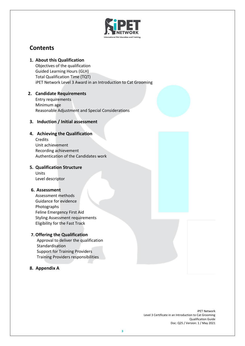

## **Contents**

## **1. About this Qualification**

Objectives of the qualification Guided Learning Hours (GLH) Total Qualification Time (TQT) iPET Network Level 3 Award in an Introduction to Cat Grooming

# **2. Candidate Requirements**

Entry requirements Minimum age Reasonable Adjustment and Special Considerations

## **3. Induction / Initial assessment**

## **4. Achieving the Qualification**

Credits Unit achievement Recording achievement Authentication of the Candidates work

## **5. Qualification Structure**

Units Level descriptor

## **6. Assessment**

Assessment methods Guidance for evidence Photographs Feline Emergency First Aid Styling Assessment requirements Eligibility for the Fast Track

## **7. Offering the Qualification**

Approval to deliver the qualification Standardisation Support for Training Providers Training Providers responsibilities

## **8. Appendix A**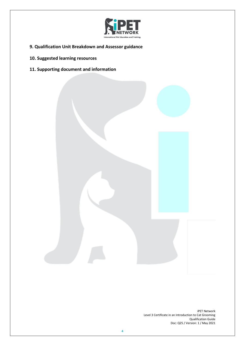

- **9. Qualification Unit Breakdown and Assessor guidance**
- **10. Suggested learning resources**
- **11. Supporting document and information**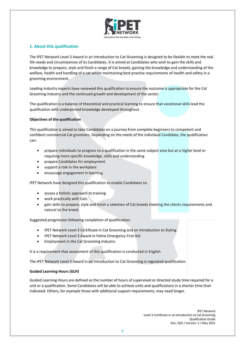

### **1. About this qualification**

The iPET Network Level 3 Award in an Introduction to Cat Grooming is designed to be flexible to meet the real life needs and circumstances of its Candidates. It is aimed at Candidates who wish to gain the skills and knowledge to prepare, style and finish a range of Cat breeds, gaining the knowledge and understanding of the welfare, health and handling of a cat whilst maintaining best practise requirements of health and safety in a grooming environment.

Leading industry experts have reviewed this qualification to ensure the outcome is appropriate for the Cat Grooming Industry and the continued growth and development of the sector.

The qualification is a balance of theoretical and practical learning to ensure that vocational skills lead the qualification with underpinned knowledge developed throughout.

#### **Objectives of the qualification**

This qualification is aimed to take Candidates on a journey from complete beginners to competent and confident commercial Cat groomers. Depending on the needs of the individual Candidate, the qualification can:

- prepare individuals to progress to a qualification in the same subject area but at a higher level or requiring more specific knowledge, skills and understanding
- prepare Candidates for employment
- support a role in the workplace
- encourage engagement in learning.

iPET Network have designed this qualification to enable Candidates to:

- access a holistic approach to training
- work practically with Cats
- gain skills to prepare, style and finish a selection of Cat breeds meeting the clients requirements and natural to the breed.

Suggested progression following completion of qualification:

- iPET Network Level 3 Certificate in Cat Grooming and an Introduction to Styling
- iPET Network Level 3 Award in Feline Emergency First Aid
- Employment in the Cat Grooming Industry

It is a requirement that assessment of this qualification is conducted in English.

The iPET Network Level 3 Award in an Introduction to Cat Grooming is regulated qualification.

#### **Guided Learning Hours (GLH)**

Guided Learning Hours are defined as the number of hours of supervised or directed study time required for a unit or a qualification. Some Candidates will be able to achieve units and qualifications in a shorter time than indicated. Others, for example those with additional support requirements, may need longer.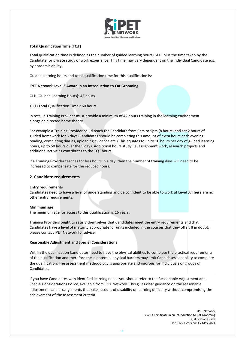

#### **Total Qualification Time (TQT)**

Total qualification time is defined as the number of guided learning hours (GLH) plus the time taken by the Candidate for private study or work experience. This time may vary dependent on the individual Candidate e.g. by academic ability.

Guided learning hours and total qualification time for this qualification is:

#### **iPET Network Level 3 Award in an Introduction to Cat Grooming**

GLH (Guided Learning Hours): 42 hours

TQT (Total Qualification Time): 60 hours

In total, a Training Provider must provide a minimum of 42 hours training in the learning environment alongside directed home theory.

For example a Training Provider could teach the Candidate from 9am to 5pm (8 hours) and set 2 hours of guided homework for 5 days (Candidates should be completing this amount of extra hours each evening reading, completing diaries, uploading evidence etc.) This equates to up to 10 hours per day of guided learning hours, up to 50 hours over the 5 days. Additional hours study i.e. assignment work, research projects and additional activities contributes to the TQT hours.

If a Training Provider teaches for less hours in a day, then the number of training days will need to be increased to compensate for the reduced hours.

#### **2. Candidate requirements**

#### **Entry requirements**

Candidates need to have a level of understanding and be confident to be able to work at Level 3. There are no other entry requirements.

#### **Minimum age**

The minimum age for access to this qualification is 16 years.

Training Providers ought to satisfy themselves that Candidates meet the entry requirements and that Candidates have a level of maturity appropriate for units included in the courses that they offer. If in doubt, please contact iPET Network for advice.

#### **Reasonable Adjustment and Special Considerations**

Within the qualification Candidates need to have the physical abilities to complete the practical requirements of the qualification and therefore these potential physical barriers may limit Candidates capability to complete the qualification. The assessment methodology is appropriate and rigorous for individuals or groups of Candidates.

If you have Candidates with identified learning needs you should refer to the Reasonable Adjustment and Special Considerations Policy, available from iPET Network. This gives clear guidance on the reasonable adjustments and arrangements that take account of disability or learning difficulty without compromising the achievement of the assessment criteria.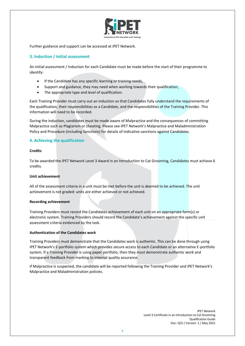

Further guidance and support can be accessed at iPET Network.

#### **3. Induction / Initial assessment**

An initial assessment / Induction for each Candidate must be made before the start of their programme to identify:

- If the Candidate has any specific learning or training needs,
- Support and guidance, they may need when working towards their qualification,
- The appropriate type and level of qualification.

Each Training Provider must carry out an induction so that Candidates fully understand the requirements of the qualification, their responsibilities as a Candidate, and the responsibilities of the Training Provider. This information will need to be recorded.

During the induction, candidates must be made aware of Malpractice and the consequences of committing Malpractice such as Plagiarism or cheating. Please see iPET Network's Malpractice and Maladministration Policy and Procedure (including Sanctions) for details of indicative sanctions against Candidates.

#### **4. Achieving the qualification**

#### **Credits**

To be awarded the iPET Network Level 3 Award in an Introduction to Cat Grooming, Candidates must achieve 6 credits.

#### **Unit achievement**

All of the assessment criteria in a unit must be met before the unit is deemed to be achieved. The unit achievement is not graded: units are either achieved or not achieved.

#### **Recording achievement**

Training Providers must record the Candidates achievement of each unit on an appropriate form(s) or electronic system. Training Providers should record the Candidate's achievement against the specific unit assessment criteria evidenced by the task.

#### **Authentication of the Candidates work**

Training Providers must demonstrate that the Candidates work is authentic. This can be done through using iPET Network's E-portfolio system which provides secure access to each Candidate or an alternative E-portfolio system. If a Training Provider is using paper portfolio, then they must demonstrate authentic work and transparent feedback from marking to internal quality assurance.

If Malpractice is suspected, the candidate will be reported following the Training Provider and iPET Network's Malpractice and Maladministration policies.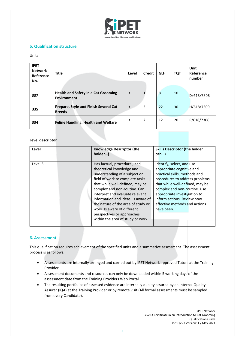

#### **5. Qualification structure**

#### Units

| <b>iPET</b><br><b>Network</b><br>Reference<br>No. | <b>Title</b>                                                     | Level | <b>Credit</b>  | <b>GLH</b> | <b>TQT</b> | Unit<br>Reference<br>number |
|---------------------------------------------------|------------------------------------------------------------------|-------|----------------|------------|------------|-----------------------------|
| 337                                               | <b>Health and Safety in a Cat Grooming</b><br><b>Environment</b> | 3     |                | 8          | 10         | D/618/7308                  |
| 335                                               | Prepare, Style and Finish Several Cat<br><b>Breeds</b>           | 3     | 3              | 22         | 30         | H/618/7309                  |
| 334                                               | <b>Feline Handling, Health and Welfare</b>                       | 3     | $\overline{2}$ | 12         | 20         | R/618/7306                  |

#### **Level descriptor**

| Level   | <b>Knowledge Descriptor (the</b><br>holder)                                                                                                                                                                                                                                                                                                                                                                       | <b>Skills Descriptor (the holder</b><br>can                                                                                                                                                                                                                                                               |
|---------|-------------------------------------------------------------------------------------------------------------------------------------------------------------------------------------------------------------------------------------------------------------------------------------------------------------------------------------------------------------------------------------------------------------------|-----------------------------------------------------------------------------------------------------------------------------------------------------------------------------------------------------------------------------------------------------------------------------------------------------------|
| Level 3 | Has factual, procedural, and<br>theoretical knowledge and<br>understanding of a subject or<br>field of work to complete tasks<br>that while well-defined, may be<br>complex and non-routine. Can<br>interpret and evaluate relevant<br>information and ideas. Is aware of<br>the nature of the area of study or<br>work. Is aware of different<br>perspectives or approaches<br>within the area of study or work. | Identify, select, and use<br>appropriate cognitive and<br>practical skills, methods and<br>procedures to address problems<br>that while well-defined, may be<br>complex and non-routine. Use<br>appropriate investigation to<br>inform actions. Review how<br>effective methods and actions<br>have been. |

#### **6. Assessment**

This qualification requires achievement of the specified units and a summative assessment. The assessment process is as follows:

- Assessments are internally arranged and carried out by iPET Network approved Tutors at the Training Provider.
- Assessment documents and resources can only be downloaded within 5 working days of the assessment date from the Training Providers Web Portal.
- The resulting portfolios of assessed evidence are internally quality assured by an Internal Quality Assurer (IQA) at the Training Provider or by remote visit (All formal assessments must be sampled from every Candidate).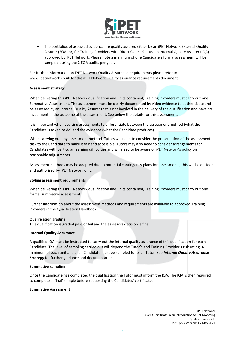

• The portfolios of assessed evidence are quality assured either by an iPET Network External Quality Assurer (EQA) or, for Training Providers with Direct Claims Status, an Internal Quality Assurer (IQA) approved by iPET Network. Please note a minimum of one Candidate's formal assessment will be sampled during the 2 EQA audits per year.

For further information on iPET Network Quality Assurance requirements please refer to www.ipetnetwork.co.uk for the iPET Network Quality assurance requirements document.

#### **Assessment strategy**

When delivering this iPET Network qualification and units contained, Training Providers must carry out one Summative Assessment. The assessment must be clearly documented by video evidence to authenticate and be assessed by an Internal Quality Assurer that is not involved in the delivery of the qualification and have no investment in the outcome of the assessment. See below the details for this assessment.

It is important when devising assessments to differentiate between the assessment method (what the Candidate is asked to do) and the evidence (what the Candidate produces).

When carrying out any assessment method, Tutors will need to consider the presentation of the assessment task to the Candidate to make it fair and accessible. Tutors may also need to consider arrangements for Candidates with particular learning difficulties and will need to be aware of iPET Network's policy on reasonable adjustments.

Assessment methods may be adapted due to potential contingency plans for assessments, this will be decided and authorised by iPET Network only.

#### **Styling assessment requirements**

When delivering this iPET Network qualification and units contained, Training Providers must carry out one formal summative assessment.

Further information about the assessment methods and requirements are available to approved Training Providers in the Qualification Handbook.

#### **Qualification grading**

This qualification is graded pass or fail and the assessors decision is final.

#### **Internal Quality Assurance**

A qualified IQA must be instructed to carry out the internal quality assurance of this qualification for each Candidate. The level of sampling carried out will depend the Tutor's and Training Provider's risk rating. A minimum of each unit and each Candidate must be sampled for each Tutor. See *Internal Quality Assurance Strategy* for further guidance and documentation.

#### **Summative sampling**

Once the Candidate has completed the qualification the Tutor must inform the IQA. The IQA is then required to complete a 'final' sample before requesting the Candidates' certificate.

#### **Summative Assessment**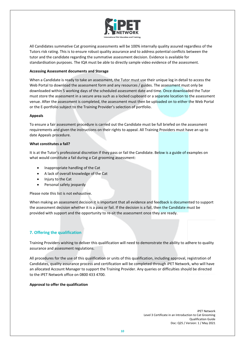

All Candidates summative Cat grooming assessments will be 100% internally quality assured regardless of the Tutors risk rating. This is to ensure robust quality assurance and to address potential conflicts between the tutor and the candidate regarding the summative assessment decision. Evidence is available for standardisation purposes. The IQA must be able to directly sample video evidence of the assessment.

#### **Accessing Assessment documents and Storage**

When a Candidate is ready to take an assessment, the Tutor must use their unique log in detail to access the Web Portal to download the assessment form and any resources / guides. The assessment must only be downloaded within 5 working days of the scheduled assessment date and time. Once downloaded the Tutor must store the assessment in a secure area such as a locked cupboard or a separate location to the assessment venue. After the assessment is completed, the assessment must then be uploaded on to either the Web Portal or the E-portfolio subject to the Training Provider's selection of portfolio.

#### **Appeals**

To ensure a fair assessment procedure is carried out the Candidate must be full briefed on the assessment requirements and given the instructions on their rights to appeal. All Training Providers must have an up to date Appeals procedure.

#### **What constitutes a fail?**

It is at the Tutor's professional discretion if they pass or fail the Candidate. Below is a guide of examples on what would constitute a fail during a Cat grooming assessment:

- Inappropriate handling of the Cat
- A lack of overall knowledge of the Cat
- Injury to the Cat
- Personal safety jeopardy

Please note this list is not exhaustive.

When making an assessment decision it is important that all evidence and feedback is documented to support the assessment decision whether it is a pass or fail. If the decision is a fail, then the Candidate must be provided with support and the opportunity to re-sit the assessment once they are ready.

#### **7. Offering the qualification**

Training Providers wishing to deliver this qualification will need to demonstrate the ability to adhere to quality assurance and assessment regulations.

All procedures for the use of this qualification or units of this qualification, including approval, registration of Candidates, quality assurance process and certification will be completed through iPET Network, who will have an allocated Account Manager to support the Training Provider. Any queries or difficulties should be directed to the iPET Network office on 0800 433 4700.

#### **Approval to offer the qualification**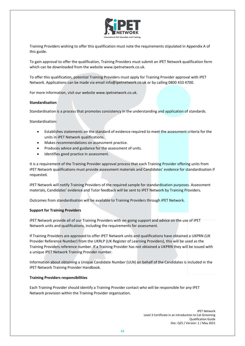

Training Providers wishing to offer this qualification must note the requirements stipulated in Appendix A of this guide.

To gain approval to offer the qualification, Training Providers must submit an iPET Network qualification form which can be downloaded from the website www.ipetnetwork.co.uk.

To offer this qualification, potential Training Providers must apply for Training Provider approval with iPET Network. Applications can be made via email info@ipetnetwork.co.uk or by calling 0800 433 4700.

For more information, visit our website www.ipetnetwork.co.uk.

#### **Standardisation**

Standardisation is a process that promotes consistency in the understanding and application of standards.

Standardisation:

- Establishes statements on the standard of evidence required to meet the assessment criteria for the units in iPET Network qualifications.
- Makes recommendations on assessment practice.
- Produces advice and guidance for the assessment of units.
- Identifies good practice in assessment.

It is a requirement of the Training Provider approval process that each Training Provider offering units from iPET Network qualifications must provide assessment materials and Candidates' evidence for standardisation if requested.

iPET Network will notify Training Providers of the required sample for standardisation purposes. Assessment materials, Candidates' evidence and Tutor feedback will be sent to iPET Network by Training Providers.

Outcomes from standardisation will be available to Training Providers through iPET Network.

#### **Support for Training Providers**

iPET Network provide all of our Training Providers with on-going support and advice on the use of iPET Network units and qualifications, including the requirements for assessment.

If Training Providers are approved to offer iPET Network units and qualifications have obtained a UKPRN (UK Provider Reference Number) from the UKRLP (UK Register of Learning Providers), this will be used as the Training Providers reference number. If a Training Provider has not obtained a UKPRN they will be issued with a unique IPET Network Training Provider number.

Information about obtaining a Unique Candidate Number (ULN) on behalf of the Candidates is included in the iPET Network Training Provider Handbook.

#### **Training Providers responsibilities**

Each Training Provider should identify a Training Provider contact who will be responsible for any iPET Network provision within the Training Provider organisation.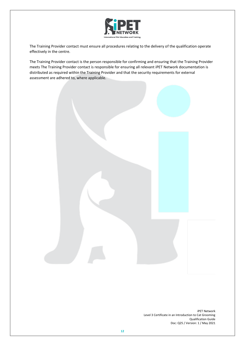

The Training Provider contact must ensure all procedures relating to the delivery of the qualification operate effectively in the centre.

The Training Provider contact is the person responsible for confirming and ensuring that the Training Provider meets The Training Provider contact is responsible for ensuring all relevant iPET Network documentation is distributed as required within the Training Provider and that the security requirements for external assessment are adhered to, where applicable.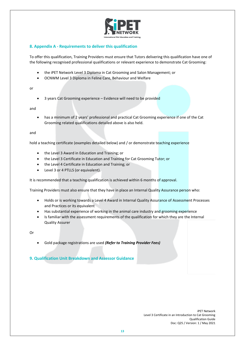

## **8. Appendix A - Requirements to deliver this qualification**

To offer this qualification, Training Providers must ensure that Tutors delivering this qualification have one of the following recognised professional qualifications or relevant experience to demonstrate Cat Grooming:

- the iPET Network Level 3 Diploma in Cat Grooming and Salon Management; or
- OCNWM Level 3 Diploma in Feline Care, Behaviour and Welfare

or

• 3 years Cat Grooming experience – Evidence will need to be provided

and

• has a minimum of 2 years' professional and practical Cat Grooming experience if one of the Cat Grooming related qualifications detailed above is also held.

and

hold a teaching certificate (examples detailed below) and / or demonstrate teaching experience

- the Level 3 Award in Education and Training; or
- the Level 3 Certificate in Education and Training for Cat Grooming Tutor; or
- the Level 4 Certificate in Education and Training; or
- Level 3 or 4 PTLLS (or equivalent).

It is recommended that a teaching qualification is achieved within 6 months of approval.

Training Providers must also ensure that they have in place an Internal Quality Assurance person who:

- Holds or is working towards a Level 4 Award in Internal Quality Assurance of Assessment Processes and Practices or its equivalent
- Has substantial experience of working in the animal care industry and grooming experience
- Is familiar with the assessment requirements of the qualification for which they are the Internal Quality Assurer

Or

• Gold package registrations are used *(Refer to Training Provider Fees)*

**9. Qualification Unit Breakdown and Assessor Guidance**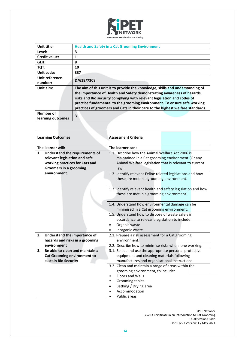

| Unit title:                    | <b>Health and Safety in a Cat Grooming Environment</b>                                                                                                                                                                                                                                                                                                                                            |
|--------------------------------|---------------------------------------------------------------------------------------------------------------------------------------------------------------------------------------------------------------------------------------------------------------------------------------------------------------------------------------------------------------------------------------------------|
| Level:                         | 3                                                                                                                                                                                                                                                                                                                                                                                                 |
| <b>Credit value:</b>           | 1                                                                                                                                                                                                                                                                                                                                                                                                 |
| GLH:                           | 8                                                                                                                                                                                                                                                                                                                                                                                                 |
| TQT:                           | 10                                                                                                                                                                                                                                                                                                                                                                                                |
| Unit code:                     | 337                                                                                                                                                                                                                                                                                                                                                                                               |
| Unit reference<br>number:      | D/618/7308                                                                                                                                                                                                                                                                                                                                                                                        |
| Unit aim:                      | The aim of this unit is to provide the knowledge, skills and understanding of<br>the importance of Health and Safety demonstrating awareness of hazards,<br>risks and Bio security complying with relevant legislation and codes of<br>practice fundamental to the grooming environment. To ensure safe working<br>practices of groomers and Cats in their care to the highest welfare standards. |
| Number of<br>learning outcomes | 3                                                                                                                                                                                                                                                                                                                                                                                                 |

| <b>Learning Outcomes</b> |                                                                                                                                           | <b>Assessment Criteria</b>                                                                                                                                                                                    |
|--------------------------|-------------------------------------------------------------------------------------------------------------------------------------------|---------------------------------------------------------------------------------------------------------------------------------------------------------------------------------------------------------------|
|                          | The learner will:                                                                                                                         | The learner can:                                                                                                                                                                                              |
| 1.                       | <b>Understand the requirements of</b><br>relevant legislation and safe<br>working practices for Cats and<br><b>Groomers in a grooming</b> | 1.1. Describe how the Animal Welfare Act 2006 is<br>maintained in a Cat grooming environment (Or any<br>Animal Welfare legislation that is relevant to current<br>law).                                       |
|                          | environment.                                                                                                                              | 1.2. Identify relevant Feline related legislations and how<br>these are met in a grooming environment.                                                                                                        |
|                          |                                                                                                                                           | 1.3. Identify relevant health and safety legislation and how<br>these are met in a grooming environment.                                                                                                      |
|                          |                                                                                                                                           | 1.4. Understand how environmental damage can be<br>minimised in a Cat grooming environment.                                                                                                                   |
|                          |                                                                                                                                           | 1.5. Understand how to dispose of waste safely in<br>accordance to relevant legislation to include:<br>Organic waste<br>$\bullet$                                                                             |
|                          |                                                                                                                                           | Inorganic waste<br>$\bullet$                                                                                                                                                                                  |
| 2.                       | Understand the importance of<br>hazards and risks in a grooming                                                                           | 2.1. Prepare a risk assessment for a Cat grooming<br>environment.                                                                                                                                             |
|                          | environment                                                                                                                               | 2.2. Describe how to minimise risks when lone working.                                                                                                                                                        |
| 3.                       | Be able to clean and maintain a<br><b>Cat Grooming environment to</b><br>sustain Bio Security                                             | 3.1. Select and use the appropriate personal protective<br>equipment and cleaning materials following<br>manufactures and organisational instructions.                                                        |
|                          |                                                                                                                                           | 3.2. Clean and maintain a range of areas within the<br>grooming environment, to include:<br><b>Floors and Walls</b><br>$\bullet$<br>Grooming tables<br>Bathing / Drying area<br>Accommodation<br>Public areas |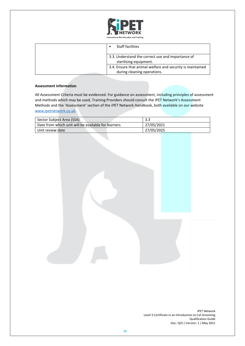

| <b>Staff facilities</b>                                                                   |
|-------------------------------------------------------------------------------------------|
| 3.3. Understand the correct use and importance of<br>sterilising equipment.               |
| 3.4. Ensure that animal welfare and security is maintained<br>during cleaning operations. |

#### **Assessment information**

All Assessment Criteria must be evidenced. For guidance on assessment, including principles of assessment and methods which may be used, Training Providers should consult the iPET Network's Assessment Methods and the 'Assessment' section of the iPET Network Handbook, both available on our website [www.ipetnetwork.co.uk.](http://www.ipetnetwork.co.uk/)

| Sector Subject Area (SSA)                           | 3.3        |
|-----------------------------------------------------|------------|
| Date from which unit will be available for learners | 27/05/2021 |
| Unit review date                                    | 27/05/2025 |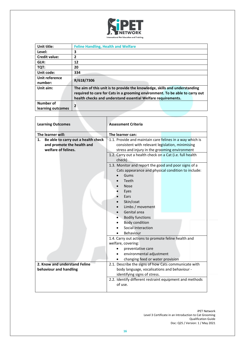

| Unit title:       | <b>Feline Handling, Health and Welfare</b>                                   |
|-------------------|------------------------------------------------------------------------------|
| Level:            | 3                                                                            |
| Credit value:     | 2                                                                            |
| GLH:              | 12                                                                           |
| TQT:              | 20                                                                           |
| Unit code:        | 334                                                                          |
| Unit reference    | R/618/7306                                                                   |
| number:           |                                                                              |
| Unit aim:         | The aim of this unit is to provide the knowledge, skills and understanding   |
|                   | required to care for Cats in a grooming environment. To be able to carry out |
|                   | health checks and understand essential Welfare requirements.                 |
| Number of         | 2                                                                            |
| learning outcomes |                                                                              |

| <b>Learning Outcomes</b>                  | <b>Assessment Criteria</b>                               |
|-------------------------------------------|----------------------------------------------------------|
| The learner will:                         | The learner can:                                         |
| Be able to carry out a health check<br>1. | 1.1. Provide and maintain care felines in a way which is |
| and promote the health and                | consistent with relevant legislation, minimising         |
| welfare of felines.                       | stress and injury in the grooming environment            |
|                                           | 1.2. Carry out a health check on a Cat (i.e. full health |
|                                           | check)                                                   |
|                                           | 1.3. Monitor and report the good and poor signs of a     |
|                                           | Cats appearance and physical condition to include:       |
|                                           | Gums                                                     |
|                                           | Teeth                                                    |
|                                           | <b>Nose</b>                                              |
|                                           | Eyes                                                     |
|                                           | Ears                                                     |
|                                           | Skin/coat                                                |
|                                           | Limbs / movement                                         |
|                                           | Genital area                                             |
|                                           | <b>Bodily functions</b>                                  |
|                                           | <b>Body condition</b><br>Social Interaction              |
|                                           | Behaviour                                                |
|                                           | 1.4. Carry out actions to promote feline health and      |
|                                           | welfare, covering:                                       |
|                                           | preventative care                                        |
|                                           | environmental adjustment                                 |
|                                           | changing feed or water provision                         |
| 2. Know and understand Feline             | 2.1. Describe the signs of how Cats communicate with     |
| behaviour and handling                    | body language, vocalisations and behaviour -             |
|                                           | identifying signs of stress.                             |
|                                           | 2.2. Identify different restraint equipment and methods  |
|                                           | of use.                                                  |
|                                           |                                                          |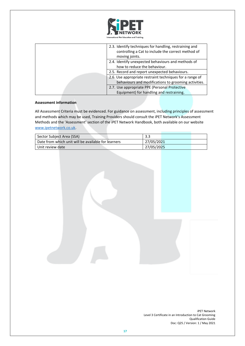

| 2.3. Identify techniques for handling, restraining and<br>controlling a Cat to include the correct method of<br>moving joints. |
|--------------------------------------------------------------------------------------------------------------------------------|
| 2.4. Identify unexpected behaviours and methods of<br>how to reduce the behaviour.                                             |
| 2.5. Record and report unexpected behaviours.                                                                                  |
| 2.6. Use appropriate restraint techniques for a range of<br>behaviours and modifications to grooming activities.               |
| 2.7. Use appropriate PPE (Personal Protective                                                                                  |
| Equipment) for handling and restraining.                                                                                       |

#### **Assessment information**

All Assessment Criteria must be evidenced. For guidance on assessment, including principles of assessment and methods which may be used, Training Providers should consult the iPET Network's Assessment Methods and the 'Assessment' section of the iPET Network Handbook, both available on our website [www.ipetnetwork.co.uk.](http://www.ipetnetwork.co.uk/)

| Sector Subject Area (SSA)                           | -3.3       |
|-----------------------------------------------------|------------|
| Date from which unit will be available for learners | 27/05/2021 |
| Unit review date                                    | 27/05/2025 |

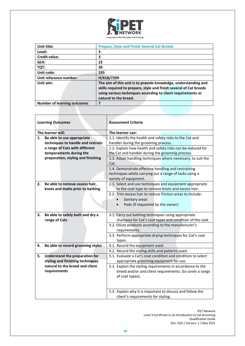

| Unit title:                        | <b>Prepare, Style and Finish Several Cat Breeds</b>                                                                                                                                                                            |
|------------------------------------|--------------------------------------------------------------------------------------------------------------------------------------------------------------------------------------------------------------------------------|
| Level:                             | 3                                                                                                                                                                                                                              |
| <b>Credit value:</b>               | 3                                                                                                                                                                                                                              |
| GLH:                               | 22                                                                                                                                                                                                                             |
| TQT:                               | 30                                                                                                                                                                                                                             |
| Unit code:                         | 335                                                                                                                                                                                                                            |
| Unit reference number:             | H/618/7309                                                                                                                                                                                                                     |
| Unit aim:                          | The aim of this unit is to provide knowledge, understanding and<br>skills required to prepare, style and finish several of Cat breeds<br>using various techniques according to client requirements or<br>natural to the breed. |
| <b>Number of learning outcomes</b> |                                                                                                                                                                                                                                |

| <b>Learning Outcomes</b> |                                                                    | <b>Assessment Criteria</b>                                                                                        |
|--------------------------|--------------------------------------------------------------------|-------------------------------------------------------------------------------------------------------------------|
|                          | The learner will:                                                  | The learner can:                                                                                                  |
| 1.                       | Be able to use appropriate                                         | 1.1. Identify the health and safety risks to the Cat and                                                          |
|                          | techniques to handle and restrain                                  | handler during the grooming process.                                                                              |
|                          | a range of Cats with different                                     | 1.2. Explain how health and safety risks can be reduced for                                                       |
|                          | temperaments during the                                            | the Cat and handler during the grooming process.                                                                  |
|                          | preparation, styling and finishing                                 | 1.3. Adapt handling techniques where necessary, to suit the                                                       |
|                          |                                                                    | Cat.                                                                                                              |
|                          |                                                                    |                                                                                                                   |
|                          |                                                                    | 1.4. Demonstrate effective handling and restraining<br>techniques whilst carrying out a range of tasks using a    |
|                          |                                                                    | variety of equipment.                                                                                             |
|                          |                                                                    |                                                                                                                   |
| 2.                       | Be able to remove excess hair,                                     | 2.1. Select and use techniques and equipment appropriate                                                          |
|                          | knots and matts prior to bathing                                   | to the coat type to remove knots and excess hair.<br>2.2. Trim excess hair to reduce friction areas to include:   |
|                          |                                                                    |                                                                                                                   |
|                          |                                                                    | Sanitary areas                                                                                                    |
|                          |                                                                    | Pads (if requested by the owner)                                                                                  |
|                          |                                                                    |                                                                                                                   |
| З.                       | Be able to safely bath and dry a                                   | 3.1. Carry out bathing techniques using appropriate                                                               |
|                          | range of Cats                                                      | shampoo for Cat's coat types and condition of the coat.<br>3.2. Dilute products according to the manufacturer's   |
|                          |                                                                    |                                                                                                                   |
|                          |                                                                    | requirements.                                                                                                     |
|                          |                                                                    | 3.3. Perform appropriate drying techniques for Cat's coat                                                         |
| 4.                       |                                                                    | types.                                                                                                            |
|                          | Be able to record grooming styles                                  | 4.1. Record the equipment used.                                                                                   |
| 5.                       |                                                                    | 4.2. Record the styling skills and patterns used.<br>5.1. Evaluate a Cat's coat condition and condition to select |
|                          | Understand the preparation for<br>styling and finishing techniques |                                                                                                                   |
|                          | natural to the breed and client                                    | appropriate grooming equipment for use.                                                                           |
|                          |                                                                    | 5.2. Explain the styling requirements in accordance to the                                                        |
|                          | requirements                                                       | breed and/or and client requirements. (to cover a range                                                           |
|                          |                                                                    | of coat types).                                                                                                   |
|                          |                                                                    |                                                                                                                   |
|                          |                                                                    | 5.3. Explain why it is important to discuss and follow the                                                        |
|                          |                                                                    | client's requirements for styling.                                                                                |
|                          |                                                                    |                                                                                                                   |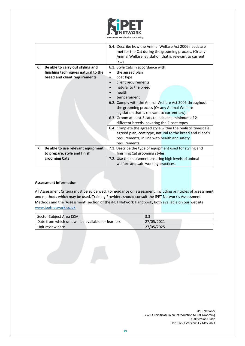

|    |                                     | 5.4. Describe how the Animal Welfare Act 2006 needs are<br>met for the Cat during the grooming process, (Or any |
|----|-------------------------------------|-----------------------------------------------------------------------------------------------------------------|
|    |                                     | Animal Welfare legislation that is relevant to current                                                          |
|    |                                     | law).                                                                                                           |
| 6. | Be able to carry out styling and    | 6.1. Style Cats in accordance with:                                                                             |
|    | finishing techniques natural to the | the agreed plan<br>$\bullet$                                                                                    |
|    | breed and client requirements       | coat type<br>٠                                                                                                  |
|    |                                     | client requirements<br>$\bullet$                                                                                |
|    |                                     | natural to the breed                                                                                            |
|    |                                     | health                                                                                                          |
|    |                                     | temperament                                                                                                     |
|    |                                     | 6.2. Comply with the Animal Welfare Act 2006 throughout                                                         |
|    |                                     | the grooming process (Or any Animal Welfare                                                                     |
|    |                                     | legislation that is relevant to current law).                                                                   |
|    |                                     | 6.3. Groom at least 3 cats to include a minimum of 2                                                            |
|    |                                     | different breeds, covering the 2 coat types.                                                                    |
|    |                                     | 6.4. Complete the agreed style within the realistic timescale,                                                  |
|    |                                     | agreed plan, coat type, natural to the breed and client's                                                       |
|    |                                     | requirements, in line with health and safety                                                                    |
|    |                                     | requirements.                                                                                                   |
| 7. | Be able to use relevant equipment   | 7.1. Describe the type of equipment used for styling and                                                        |
|    | to prepare, style and finish        | finishing Cat grooming styles.                                                                                  |
|    | grooming Cats                       | 7.2. Use the equipment ensuring high levels of animal                                                           |
|    |                                     | welfare and safe working practices.                                                                             |

#### **Assessment information**

All Assessment Criteria must be evidenced. For guidance on assessment, including principles of assessment and methods which may be used, Training Providers should consult the iPET Network's Assessment Methods and the 'Assessment' section of the iPET Network Handbook, both available on our website [www.ipetnetwork.co.uk.](http://www.ipetnetwork.co.uk/)

| Sector Subject Area (SSA)                           | 3.3        |
|-----------------------------------------------------|------------|
| Date from which unit will be available for learners | 27/05/2021 |
| Unit review date                                    | 27/05/2025 |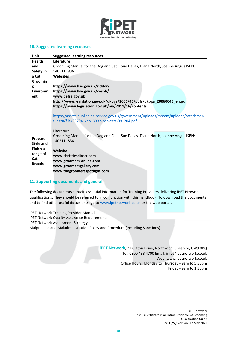

#### **10. Suggested learning recourses**

| <b>Unit</b>                                      | <b>Suggested learning resources</b>                                                  |  |  |  |  |
|--------------------------------------------------|--------------------------------------------------------------------------------------|--|--|--|--|
| <b>Health</b>                                    | Literature                                                                           |  |  |  |  |
| and                                              | Grooming Manual for the Dog and Cat - Sue Dallas, Diana North, Joanne Angus ISBN:    |  |  |  |  |
| Safety in                                        | 1405111836                                                                           |  |  |  |  |
| a Cat                                            | <b>Websites</b>                                                                      |  |  |  |  |
| <b>Groomin</b>                                   |                                                                                      |  |  |  |  |
| g                                                | https://www.hse.gov.uk/riddor/                                                       |  |  |  |  |
| <b>Environm</b><br>https://www.hse.gov.uk/coshh/ |                                                                                      |  |  |  |  |
| ent                                              | www.defra.gov.uk                                                                     |  |  |  |  |
|                                                  | http://www.legislation.gov.uk/ukpga/2006/45/pdfs/ukpga 20060045 en.pdf               |  |  |  |  |
|                                                  | https://www.legislation.gov.uk/nia/2011/16/contents                                  |  |  |  |  |
|                                                  |                                                                                      |  |  |  |  |
|                                                  | https://assets.publishing.service.gov.uk/government/uploads/system/uploads/attachmen |  |  |  |  |
|                                                  | t data/file/697941/pb13332-cop-cats-091204.pdf                                       |  |  |  |  |
|                                                  |                                                                                      |  |  |  |  |
|                                                  | Literature                                                                           |  |  |  |  |
| Prepare,                                         | Grooming Manual for the Dog and Cat - Sue Dallas, Diana North, Joanne Angus ISBN:    |  |  |  |  |
| Style and                                        | 1405111836                                                                           |  |  |  |  |
| Finish a                                         |                                                                                      |  |  |  |  |
| range of                                         | Website                                                                              |  |  |  |  |
| Cat                                              | www.christiesdirect.com                                                              |  |  |  |  |
| <b>Breeds</b>                                    | www.groomers-online.com                                                              |  |  |  |  |
|                                                  | www.groomersgallery.com                                                              |  |  |  |  |
|                                                  | www.thegroomersspotlight.com                                                         |  |  |  |  |
|                                                  |                                                                                      |  |  |  |  |

**11. Supporting documents and general**

The following documents contain essential information for Training Providers delivering iPET Network qualifications. They should be referred to in conjunction with this handbook. To download the documents and to find other useful documents, go t[o www.ipetnetwork.co.uk](http://www.ipetnetwork.co.uk/) or the web portal.

- iPET Network Training Provider Manual
- iPET Network Quality Assurance Requirements
- iPET Network Assessment Strategy

Malpractice and Maladministration Policy and Procedure (including Sanctions)

**iPET Network**, 71 Clifton Drive, Northwich, Cheshire, CW9 8BQ Tel: 0800 433 4700 Email: [info@ipetnetwork.co.uk](mailto:info@ipetnetwork.co.uk) Web: www.ipetnetwork.co.uk Office Hours: Monday to Thursday - 9am to 5.30pm Friday - 9am to 1.30pm